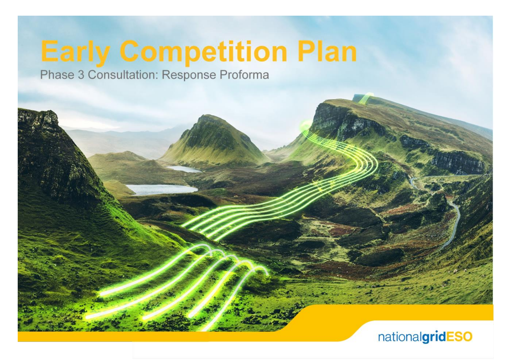# **Early Competition Plan**

Phase 3 Consultation: Response Proforma

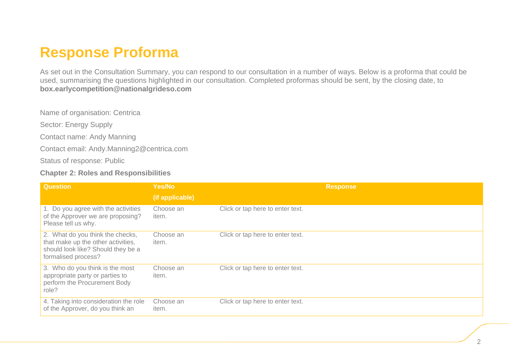# **Response Proforma**

As set out in the Consultation Summary, you can respond to our consultation in a number of ways. Below is a proforma that could be used, summarising the questions highlighted in our consultation. Completed proformas should be sent, by the closing date, to **box.earlycompetition@nationalgrideso.com**

Name of organisation: Centrica

Sector: Energy Supply

Contact name: Andy Manning

Contact email: Andy.Manning2@centrica.com

Status of response: Public

#### **Chapter 2: Roles and Responsibilities**

| <b>Question</b>                                                                                                                     | Yes/No             | <b>Response</b>                  |
|-------------------------------------------------------------------------------------------------------------------------------------|--------------------|----------------------------------|
|                                                                                                                                     | (if applicable)    |                                  |
| 1. Do you agree with the activities<br>of the Approver we are proposing?<br>Please tell us why.                                     | Choose an<br>item. | Click or tap here to enter text. |
| 2. What do you think the checks,<br>that make up the other activities,<br>should look like? Should they be a<br>formalised process? | Choose an<br>item. | Click or tap here to enter text. |
| 3. Who do you think is the most<br>appropriate party or parties to<br>perform the Procurement Body<br>role?                         | Choose an<br>item. | Click or tap here to enter text. |
| 4. Taking into consideration the role<br>of the Approver, do you think an                                                           | Choose an<br>item. | Click or tap here to enter text. |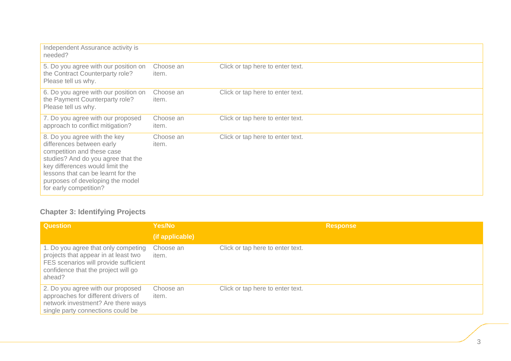| Independent Assurance activity is<br>needed?                                                                                                                                                                                                                         |                    |                                  |
|----------------------------------------------------------------------------------------------------------------------------------------------------------------------------------------------------------------------------------------------------------------------|--------------------|----------------------------------|
| 5. Do you agree with our position on<br>the Contract Counterparty role?<br>Please tell us why.                                                                                                                                                                       | Choose an<br>item. | Click or tap here to enter text. |
| 6. Do you agree with our position on<br>the Payment Counterparty role?<br>Please tell us why.                                                                                                                                                                        | Choose an<br>item. | Click or tap here to enter text. |
| 7. Do you agree with our proposed<br>approach to conflict mitigation?                                                                                                                                                                                                | Choose an<br>item. | Click or tap here to enter text. |
| 8. Do you agree with the key<br>differences between early<br>competition and these case<br>studies? And do you agree that the<br>key differences would limit the<br>lessons that can be learnt for the<br>purposes of developing the model<br>for early competition? | Choose an<br>item. | Click or tap here to enter text. |

# **Chapter 3: Identifying Projects**

| <b>Question</b>                                                                                                                                                       | <b>Yes/No</b>      | <b>Response</b>                  |
|-----------------------------------------------------------------------------------------------------------------------------------------------------------------------|--------------------|----------------------------------|
|                                                                                                                                                                       | (if applicable)    |                                  |
| 1. Do you agree that only competing<br>projects that appear in at least two<br>FES scenarios will provide sufficient<br>confidence that the project will go<br>ahead? | Choose an<br>item. | Click or tap here to enter text. |
| 2. Do you agree with our proposed<br>approaches for different drivers of<br>network investment? Are there ways<br>single party connections could be                   | Choose an<br>item. | Click or tap here to enter text. |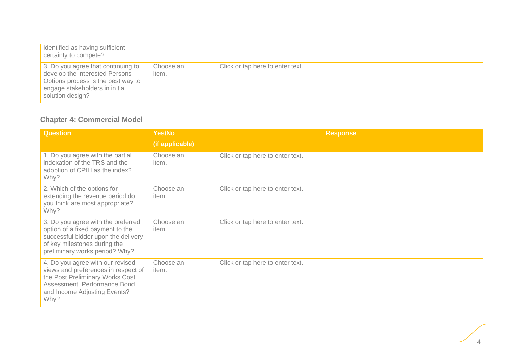| identified as having sufficient<br>certainty to compete?                                                                                                         |                    |                                  |
|------------------------------------------------------------------------------------------------------------------------------------------------------------------|--------------------|----------------------------------|
| 3. Do you agree that continuing to<br>develop the Interested Persons<br>Options process is the best way to<br>engage stakeholders in initial<br>solution design? | Choose an<br>item. | Click or tap here to enter text. |

#### **Chapter 4: Commercial Model**

| <b>Question</b>                                                                                                                                                                    | Yes/No             | <b>Response</b>                  |
|------------------------------------------------------------------------------------------------------------------------------------------------------------------------------------|--------------------|----------------------------------|
|                                                                                                                                                                                    | (if applicable)    |                                  |
| 1. Do you agree with the partial<br>indexation of the TRS and the<br>adoption of CPIH as the index?<br>Why?                                                                        | Choose an<br>item. | Click or tap here to enter text. |
| 2. Which of the options for<br>extending the revenue period do<br>you think are most appropriate?<br>Why?                                                                          | Choose an<br>item. | Click or tap here to enter text. |
| 3. Do you agree with the preferred<br>option of a fixed payment to the<br>successful bidder upon the delivery<br>of key milestones during the<br>preliminary works period? Why?    | Choose an<br>item. | Click or tap here to enter text. |
| 4. Do you agree with our revised<br>views and preferences in respect of<br>the Post Preliminary Works Cost<br>Assessment, Performance Bond<br>and Income Adjusting Events?<br>Why? | Choose an<br>item. | Click or tap here to enter text. |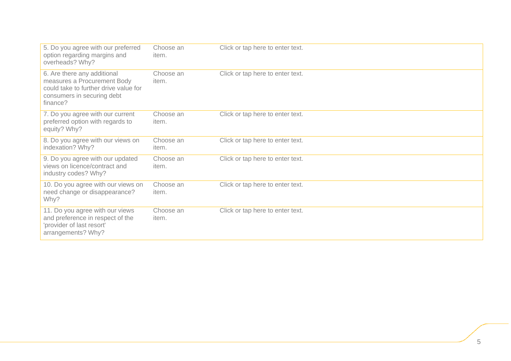| 5. Do you agree with our preferred<br>option regarding margins and<br>overheads? Why?                                                         | Choose an<br>item. | Click or tap here to enter text. |
|-----------------------------------------------------------------------------------------------------------------------------------------------|--------------------|----------------------------------|
| 6. Are there any additional<br>measures a Procurement Body<br>could take to further drive value for<br>consumers in securing debt<br>finance? | Choose an<br>item. | Click or tap here to enter text. |
| 7. Do you agree with our current<br>preferred option with regards to<br>equity? Why?                                                          | Choose an<br>item. | Click or tap here to enter text. |
| 8. Do you agree with our views on<br>indexation? Why?                                                                                         | Choose an<br>item. | Click or tap here to enter text. |
| 9. Do you agree with our updated<br>views on licence/contract and<br>industry codes? Why?                                                     | Choose an<br>item. | Click or tap here to enter text. |
| 10. Do you agree with our views on<br>need change or disappearance?<br>Why?                                                                   | Choose an<br>item. | Click or tap here to enter text. |
| 11. Do you agree with our views<br>and preference in respect of the<br>'provider of last resort'<br>arrangements? Why?                        | Choose an<br>item. | Click or tap here to enter text. |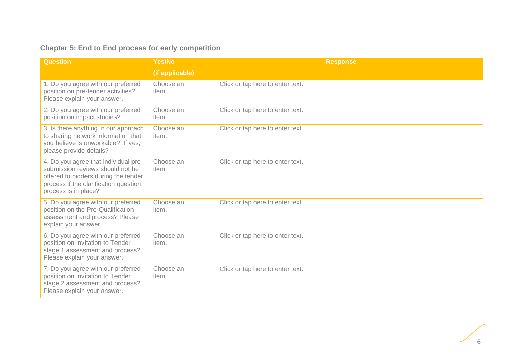### **Chapter 5: End to End process for early competition**

| <b>Question</b>                                                                                                                                                                   | Yes/No             | <b>Response</b>                  |
|-----------------------------------------------------------------------------------------------------------------------------------------------------------------------------------|--------------------|----------------------------------|
|                                                                                                                                                                                   | (if applicable)    |                                  |
| 1. Do you agree with our preferred<br>position on pre-tender activities?<br>Please explain your answer.                                                                           | Choose an<br>item. | Click or tap here to enter text. |
| 2. Do you agree with our preferred<br>position on impact studies?                                                                                                                 | Choose an<br>item. | Click or tap here to enter text. |
| 3. Is there anything in our approach<br>to sharing network information that<br>you believe is unworkable? If yes,<br>please provide details?                                      | Choose an<br>item. | Click or tap here to enter text. |
| 4. Do you agree that individual pre-<br>submission reviews should not be<br>offered to bidders during the tender<br>process if the clarification question<br>process is in place? | Choose an<br>item. | Click or tap here to enter text. |
| 5. Do you agree with our preferred<br>position on the Pre-Qualification<br>assessment and process? Please<br>explain your answer.                                                 | Choose an<br>item. | Click or tap here to enter text. |
| 6. Do you agree with our preferred<br>position on Invitation to Tender<br>stage 1 assessment and process?<br>Please explain your answer.                                          | Choose an<br>item. | Click or tap here to enter text. |
| 7. Do you agree with our preferred<br>position on Invitation to Tender<br>stage 2 assessment and process?<br>Please explain your answer.                                          | Choose an<br>item. | Click or tap here to enter text. |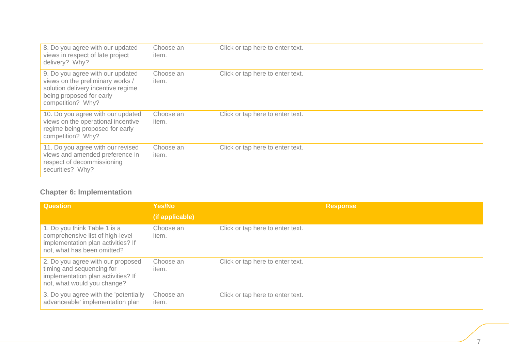| 8. Do you agree with our updated<br>views in respect of late project<br>delivery? Why?                                                                      | Choose an<br>item. | Click or tap here to enter text. |
|-------------------------------------------------------------------------------------------------------------------------------------------------------------|--------------------|----------------------------------|
| 9. Do you agree with our updated<br>views on the preliminary works /<br>solution delivery incentive regime<br>being proposed for early<br>competition? Why? | Choose an<br>item. | Click or tap here to enter text. |
| 10. Do you agree with our updated<br>views on the operational incentive<br>regime being proposed for early<br>competition? Why?                             | Choose an<br>item. | Click or tap here to enter text. |
| 11. Do you agree with our revised<br>views and amended preference in<br>respect of decommissioning<br>securities? Why?                                      | Choose an<br>item. | Click or tap here to enter text. |

#### **Chapter 6: Implementation**

| <b>Question</b>                                                                                                                       | Yes/No             | <b>Response</b>                  |
|---------------------------------------------------------------------------------------------------------------------------------------|--------------------|----------------------------------|
|                                                                                                                                       | (if applicable)    |                                  |
| 1. Do you think Table 1 is a<br>comprehensive list of high-level<br>implementation plan activities? If<br>not, what has been omitted? | Choose an<br>item. | Click or tap here to enter text. |
| 2. Do you agree with our proposed<br>timing and sequencing for<br>implementation plan activities? If<br>not, what would you change?   | Choose an<br>item. | Click or tap here to enter text. |
| 3. Do you agree with the 'potentially<br>advanceable' implementation plan                                                             | Choose an<br>item. | Click or tap here to enter text. |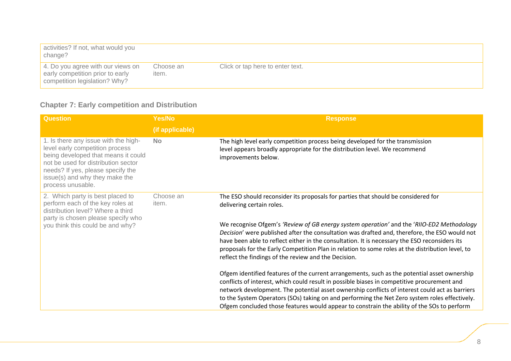| activities? If not, what would you<br>change?                                                          |                    |                                  |
|--------------------------------------------------------------------------------------------------------|--------------------|----------------------------------|
| 4. Do you agree with our views on<br>early competition prior to early<br>competition legislation? Why? | Choose an<br>item. | Click or tap here to enter text. |

# **Chapter 7: Early competition and Distribution**

| <b>Question</b>                                                                                                                                                                                                                                   | Yes/No             | <b>Response</b>                                                                                                                                                                                                                                                                                                                                                                                                                                                                                                                                                           |
|---------------------------------------------------------------------------------------------------------------------------------------------------------------------------------------------------------------------------------------------------|--------------------|---------------------------------------------------------------------------------------------------------------------------------------------------------------------------------------------------------------------------------------------------------------------------------------------------------------------------------------------------------------------------------------------------------------------------------------------------------------------------------------------------------------------------------------------------------------------------|
|                                                                                                                                                                                                                                                   | (if applicable)    |                                                                                                                                                                                                                                                                                                                                                                                                                                                                                                                                                                           |
| 1. Is there any issue with the high-<br>level early competition process<br>being developed that means it could<br>not be used for distribution sector<br>needs? If yes, please specify the<br>issue(s) and why they make the<br>process unusable. | <b>No</b>          | The high level early competition process being developed for the transmission<br>level appears broadly appropriate for the distribution level. We recommend<br>improvements below.                                                                                                                                                                                                                                                                                                                                                                                        |
| 2. Which party is best placed to<br>perform each of the key roles at<br>distribution level? Where a third<br>party is chosen please specify who<br>you think this could be and why?                                                               | Choose an<br>item. | The ESO should reconsider its proposals for parties that should be considered for<br>delivering certain roles.<br>We recognise Ofgem's 'Review of GB energy system operation' and the 'RIIO-ED2 Methodology<br>Decision' were published after the consultation was drafted and, therefore, the ESO would not<br>have been able to reflect either in the consultation. It is necessary the ESO reconsiders its<br>proposals for the Early Competition Plan in relation to some roles at the distribution level, to<br>reflect the findings of the review and the Decision. |
|                                                                                                                                                                                                                                                   |                    | Ofgem identified features of the current arrangements, such as the potential asset ownership<br>conflicts of interest, which could result in possible biases in competitive procurement and<br>network development. The potential asset ownership conflicts of interest could act as barriers<br>to the System Operators (SOs) taking on and performing the Net Zero system roles effectively.<br>Ofgem concluded those features would appear to constrain the ability of the SOs to perform                                                                              |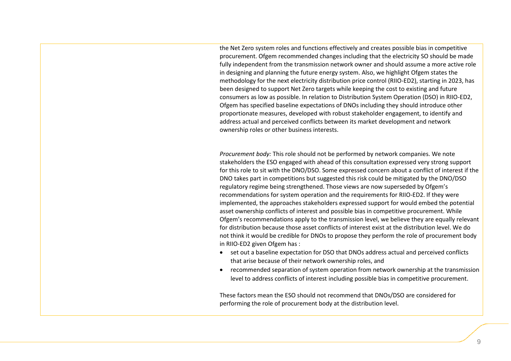the Net Zero system roles and functions effectively and creates possible bias in competitive procurement. Ofgem recommended changes including that the electricity SO should be made fully independent from the transmission network owner and should assume a more active role in designing and planning the future energy system. Also, we highlight Ofgem states the methodology for the next electricity distribution price control (RIIO-ED2), starting in 2023, has been designed to support Net Zero targets while keeping the cost to existing and future consumers as low as possible. In relation to Distribution System Operation (DSO) in RIIO-ED2, Ofgem has specified baseline expectations of DNOs including they should introduce other proportionate measures, developed with robust stakeholder engagement, to identify and address actual and perceived conflicts between its market development and network ownership roles or other business interests.

*Procurement body:* This role should not be performed by network companies. We note stakeholders the ESO engaged with ahead of this consultation expressed very strong support for this role to sit with the DNO/DSO. Some expressed concern about a conflict of interest if the DNO takes part in competitions but suggested this risk could be mitigated by the DNO/DSO regulatory regime being strengthened. Those views are now superseded by Ofgem's recommendations for system operation and the requirements for RIIO-ED2. If they were implemented, the approaches stakeholders expressed support for would embed the potential asset ownership conflicts of interest and possible bias in competitive procurement. While Ofgem's recommendations apply to the transmission level, we believe they are equally relevant for distribution because those asset conflicts of interest exist at the distribution level. We do not think it would be credible for DNOs to propose they perform the role of procurement body in RIIO-ED2 given Ofgem has :

- set out a baseline expectation for DSO that DNOs address actual and perceived conflicts that arise because of their network ownership roles, and
- recommended separation of system operation from network ownership at the transmission level to address conflicts of interest including possible bias in competitive procurement.

These factors mean the ESO should not recommend that DNOs/DSO are considered for performing the role of procurement body at the distribution level.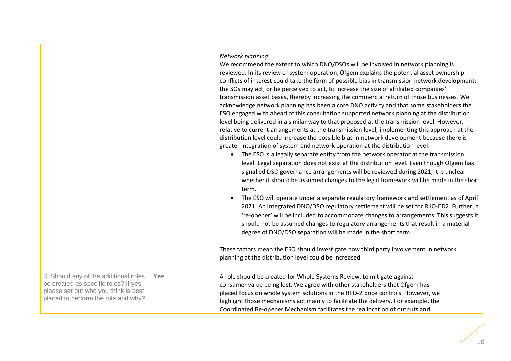*Network planning:* 

We recommend the extent to which DNO/DSOs will be involved in network planning is reviewed. In its review of system operation, Ofgem explains the potential asset ownership conflicts of interest could take the form of possible bias in transmission network development: the SOs may act, or be perceived to act, to increase the size of affiliated companies' transmission asset bases, thereby increasing the commercial return of those businesses. We acknowledge network planning has been a core DNO activity and that some stakeholders the ESO engaged with ahead of this consultation supported network planning at the distribution level being delivered in a similar way to that proposed at the transmission level. However, relative to current arrangements at the transmission level, implementing this approach at the distribution level could increase the possible bias in network development because there is greater integration of system and network operation at the distribution level:

- The ESO is a legally separate entity from the network operator at the transmission level. Legal separation does not exist at the distribution level. Even though Ofgem has signalled DSO governance arrangements will be reviewed during 2021, it is unclear whether it should be assumed changes to the legal framework will be made in the short term.
- The ESO will operate under a separate regulatory framework and settlement as of April 2021. An integrated DNO/DSO regulatory settlement will be set for RIIO-ED2. Further, a 're-opener' will be included to accommodate changes to arrangements. This suggests it should not be assumed changes to regulatory arrangements that result in a material degree of DNO/DSO separation will be made in the short term.

These factors mean the ESO should investigate how third party involvement in network planning at the distribution level could be increased.

| 3. Should any of the additional roles | <b>Yes</b> | A role should be created for Whole Systems Review, to mitigate against             |
|---------------------------------------|------------|------------------------------------------------------------------------------------|
| be created as specific roles? If yes, |            | consumer value being lost. We agree with other stakeholders that Ofgem has         |
| please set out who you think is best  |            | placed focus on whole system solutions in the RIIO-2 price controls. However, we   |
| placed to perform the role and why?   |            | highlight those mechanisms act mainly to facilitate the delivery. For example, the |
|                                       |            | Coordinated Re-opener Mechanism facilitates the reallocation of outputs and        |